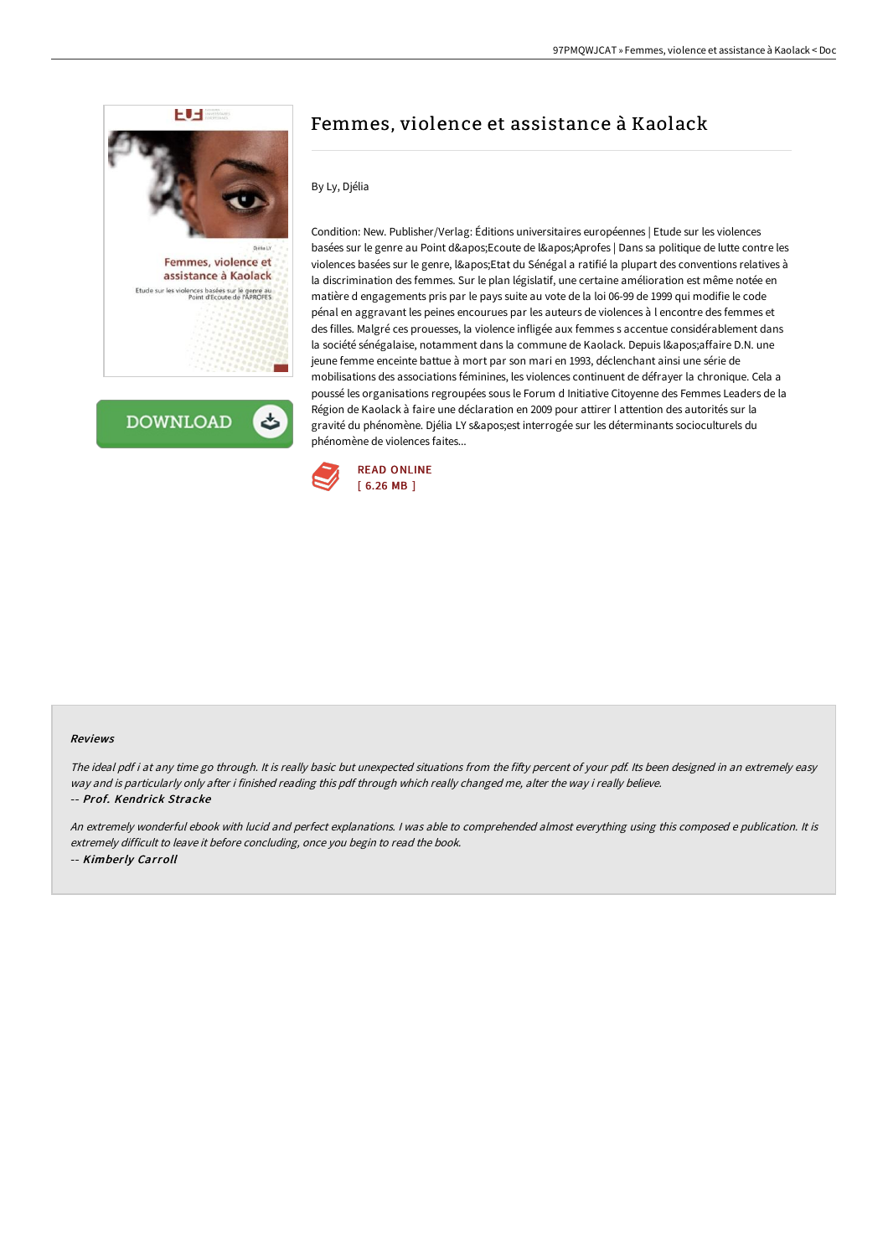

**DOWNLOAD** 

# Femmes, violence et assistance à Kaolack

## By Ly, Djélia

Condition: New. Publisher/Verlag: Éditions universitaires européennes | Etude sur les violences basées sur le genre au Point d'Ecoute de l'Aprofes | Dans sa politique de lutte contre les violences basées sur le genre, l'Etat du Sénégal a ratifié la plupart des conventions relatives à la discrimination des femmes. Sur le plan législatif, une certaine amélioration est même notée en matière d engagements pris par le pays suite au vote de la loi 06-99 de 1999 qui modifie le code pénal en aggravant les peines encourues par les auteurs de violences à l encontre des femmes et des filles. Malgré ces prouesses, la violence infligée aux femmes s accentue considérablement dans la société sénégalaise, notamment dans la commune de Kaolack. Depuis l'affaire D.N. une jeune femme enceinte battue à mort par son mari en 1993, déclenchant ainsi une série de mobilisations des associations féminines, les violences continuent de défrayer la chronique. Cela a poussé les organisations regroupées sous le Forum d Initiative Citoyenne des Femmes Leaders de la Région de Kaolack à faire une déclaration en 2009 pour attirer l attention des autorités sur la gravité du phénomène. Djélia LY s'est interrogée sur les déterminants socioculturels du phénomène de violences faites...



#### Reviews

The ideal pdf i at any time go through. It is really basic but unexpected situations from the fifty percent of your pdf. Its been designed in an extremely easy way and is particularly only after i finished reading this pdf through which really changed me, alter the way i really believe. -- Prof. Kendrick Stracke

An extremely wonderful ebook with lucid and perfect explanations. <sup>I</sup> was able to comprehended almost everything using this composed <sup>e</sup> publication. It is extremely difficult to leave it before concluding, once you begin to read the book. -- Kimberly Carroll